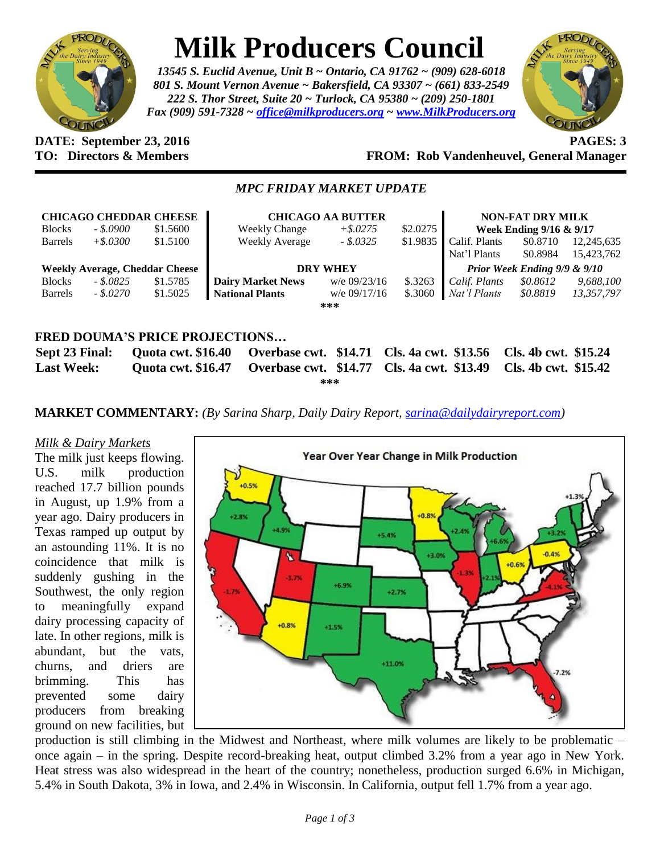

# **Milk Producers Council**

*13545 S. Euclid Avenue, Unit B ~ Ontario, CA 91762 ~ (909) 628-6018 801 S. Mount Vernon Avenue ~ Bakersfield, CA 93307 ~ (661) 833-2549 222 S. Thor Street, Suite 20 ~ Turlock, CA 95380 ~ (209) 250-1801 Fax (909) 591-7328 ~ [office@milkproducers.org](mailto:office@milkproducers.org) ~ [www.MilkProducers.org](http://www.milkproducers.org/)*



### **DATE: September 23, 2016 PAGES: 3 TO: Directors & Members FROM: Rob Vandenheuvel, General Manager**

# *MPC FRIDAY MARKET UPDATE*

| <b>CHICAGO CHEDDAR CHEESE</b>         |             |          | <b>CHICAGO AA BUTTER</b> |                |          | <b>NON-FAT DRY MILK</b>      |          |            |  |  |
|---------------------------------------|-------------|----------|--------------------------|----------------|----------|------------------------------|----------|------------|--|--|
| <b>Blocks</b>                         | - \$.0900   | \$1.5600 | <b>Weekly Change</b>     | $+$ \$.0275    | \$2.0275 | Week Ending 9/16 & 9/17      |          |            |  |  |
| <b>Barrels</b>                        | $+$ \$.0300 | \$1.5100 | Weekly Average           | $-.5.0325$     | \$1.9835 | Calif. Plants                | \$0.8710 | 12,245,635 |  |  |
|                                       |             |          |                          |                |          | Nat'l Plants                 | \$0.8984 | 15,423,762 |  |  |
| <b>Weekly Average, Cheddar Cheese</b> |             |          | <b>DRY WHEY</b>          |                |          | Prior Week Ending 9/9 & 9/10 |          |            |  |  |
| <b>Blocks</b>                         | - \$.0825   | \$1.5785 | <b>Dairy Market News</b> | $w/e$ 09/23/16 | \$.3263  | Calif. Plants                | \$0.8612 | 9,688,100  |  |  |
| <b>Barrels</b>                        | $-.8.0270$  | \$1.5025 | <b>National Plants</b>   | $w/e$ 09/17/16 | \$.3060  | Nat'l Plants                 | \$0.8819 | 13,357,797 |  |  |
|                                       |             |          |                          | ***            |          |                              |          |            |  |  |
|                                       |             |          |                          |                |          |                              |          |            |  |  |
|                                       |             |          |                          |                |          |                              |          |            |  |  |
| <b>FRED DOUMA'S PRICE PROJECTIONS</b> |             |          |                          |                |          |                              |          |            |  |  |

|                   |  | Sept 23 Final: Quota cwt. \$16.40 Overbase cwt. \$14.71 Cls. 4a cwt. \$13.56 Cls. 4b cwt. \$15.24 |  |  |  |  |  |
|-------------------|--|---------------------------------------------------------------------------------------------------|--|--|--|--|--|
| <b>Last Week:</b> |  | Quota cwt. \$16.47 Overbase cwt. \$14.77 Cls. 4a cwt. \$13.49 Cls. 4b cwt. \$15.42                |  |  |  |  |  |
| ***               |  |                                                                                                   |  |  |  |  |  |

**MARKET COMMENTARY:** *(By Sarina Sharp, Daily Dairy Report, [sarina@dailydairyreport.com\)](mailto:sarina@dailydairyreport.com)*

# *Milk & Dairy Markets*

The milk just keeps flowing. U.S. milk production reached 17.7 billion pounds in August, up 1.9% from a year ago. Dairy producers in Texas ramped up output by an astounding 11%. It is no coincidence that milk is suddenly gushing in the Southwest, the only region to meaningfully expand dairy processing capacity of late. In other regions, milk is abundant, but the vats, churns, and driers are brimming. This has prevented some dairy producers from breaking ground on new facilities, but



production is still climbing in the Midwest and Northeast, where milk volumes are likely to be problematic – once again – in the spring. Despite record-breaking heat, output climbed 3.2% from a year ago in New York. Heat stress was also widespread in the heart of the country; nonetheless, production surged 6.6% in Michigan, 5.4% in South Dakota, 3% in Iowa, and 2.4% in Wisconsin. In California, output fell 1.7% from a year ago.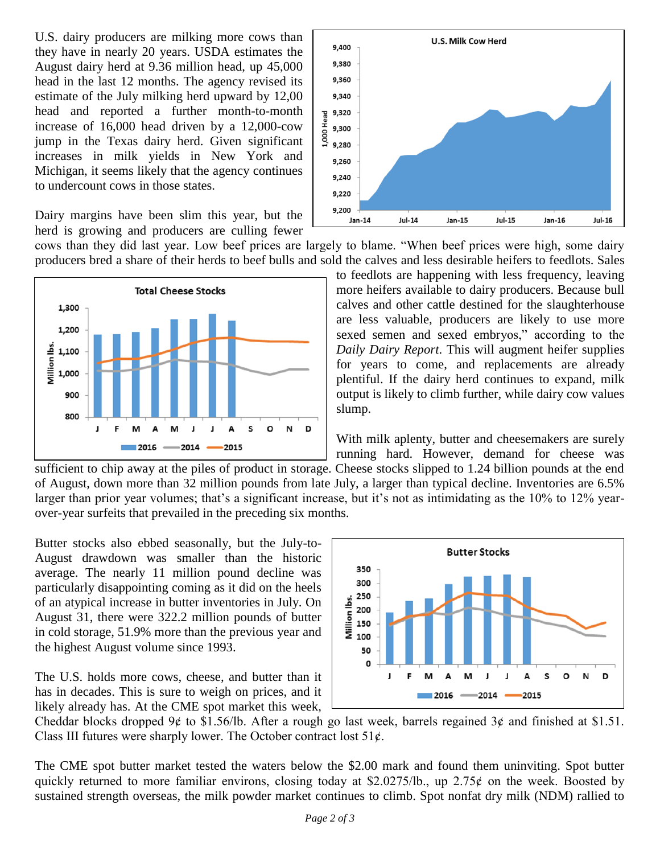U.S. dairy producers are milking more cows than they have in nearly 20 years. USDA estimates the August dairy herd at 9.36 million head, up 45,000 head in the last 12 months. The agency revised its estimate of the July milking herd upward by 12,00 head and reported a further month-to-month increase of 16,000 head driven by a 12,000-cow jump in the Texas dairy herd. Given significant increases in milk yields in New York and Michigan, it seems likely that the agency continues to undercount cows in those states.



cows than they did last year. Low beef prices are largely to blame. "When beef prices were high, some dairy producers bred a share of their herds to beef bulls and sold the calves and less desirable heifers to feedlots. Sales





With milk aplenty, butter and cheesemakers are surely running hard. However, demand for cheese was

sufficient to chip away at the piles of product in storage. Cheese stocks slipped to 1.24 billion pounds at the end of August, down more than 32 million pounds from late July, a larger than typical decline. Inventories are 6.5% larger than prior year volumes; that's a significant increase, but it's not as intimidating as the 10% to 12% yearover-year surfeits that prevailed in the preceding six months.

Butter stocks also ebbed seasonally, but the July-to-August drawdown was smaller than the historic average. The nearly 11 million pound decline was particularly disappointing coming as it did on the heels of an atypical increase in butter inventories in July. On August 31, there were 322.2 million pounds of butter in cold storage, 51.9% more than the previous year and the highest August volume since 1993.

The U.S. holds more cows, cheese, and butter than it has in decades. This is sure to weigh on prices, and it likely already has. At the CME spot market this week,



Cheddar blocks dropped 9¢ to \$1.56/lb. After a rough go last week, barrels regained 3¢ and finished at \$1.51. Class III futures were sharply lower. The October contract lost  $51¢$ .

The CME spot butter market tested the waters below the \$2.00 mark and found them uninviting. Spot butter quickly returned to more familiar environs, closing today at \$2.0275/lb., up 2.75 $\phi$  on the week. Boosted by sustained strength overseas, the milk powder market continues to climb. Spot nonfat dry milk (NDM) rallied to